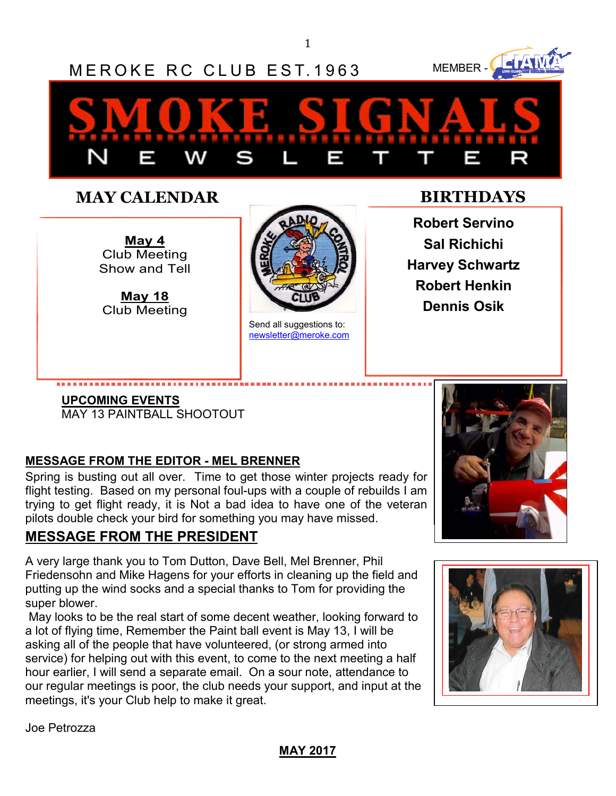1



## **MAY CALENDAR BIRTHDAYS**

**May 4**  Club Meeting Show and Tell

**May 18** Club Meeting



Send all suggestions to: newsletter@meroke.com

**Robert Servino Sal Richichi Harvey Schwartz Robert Henkin Dennis Osik** 

# **UPCOMING EVENTS**

MAY 13 PAINTBALL SHOOTOUT

### **MESSAGE FROM THE EDITOR - MEL BRENNER**

Spring is busting out all over. Time to get those winter projects ready for flight testing. Based on my personal foul-ups with a couple of rebuilds I am trying to get flight ready, it is Not a bad idea to have one of the veteran pilots double check your bird for something you may have missed.

## **MESSAGE FROM THE PRESIDENT**

A very large thank you to Tom Dutton, Dave Bell, Mel Brenner, Phil Friedensohn and Mike Hagens for your efforts in cleaning up the field and putting up the wind socks and a special thanks to Tom for providing the super blower.

 May looks to be the real start of some decent weather, looking forward to a lot of flying time, Remember the Paint ball event is May 13, I will be asking all of the people that have volunteered, (or strong armed into service) for helping out with this event, to come to the next meeting a half hour earlier, I will send a separate email. On a sour note, attendance to our regular meetings is poor, the club needs your support, and input at the meetings, it's your Club help to make it great.





Joe Petrozza

#### **MAY 2017**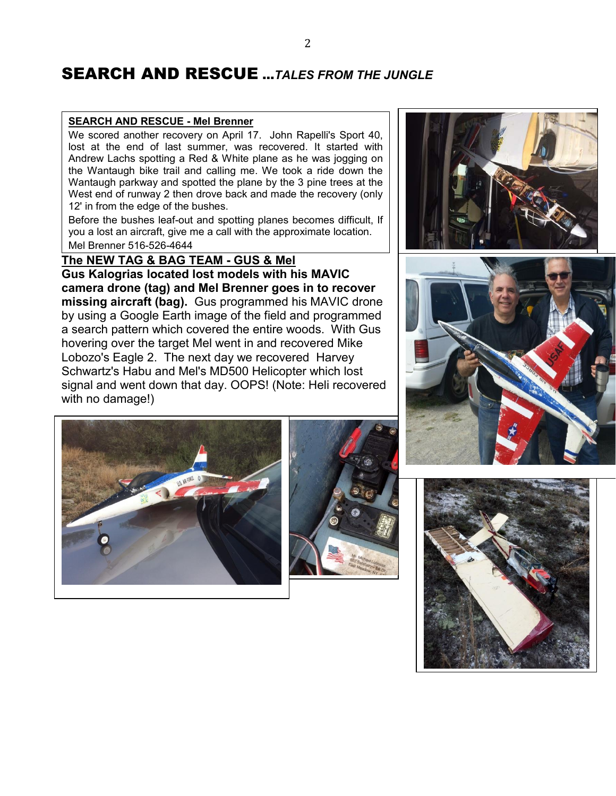## SEARCH AND RESCUE ...*TALES FROM THE JUNGLE*

#### **SEARCH AND RESCUE - Mel Brenner**

We scored another recovery on April 17. John Rapelli's Sport 40, lost at the end of last summer, was recovered. It started with Andrew Lachs spotting a Red & White plane as he was jogging on the Wantaugh bike trail and calling me. We took a ride down the Wantaugh parkway and spotted the plane by the 3 pine trees at the West end of runway 2 then drove back and made the recovery (only 12' in from the edge of the bushes.

Before the bushes leaf-out and spotting planes becomes difficult, If you a lost an aircraft, give me a call with the approximate location. Mel Brenner 516-526-4644

**The NEW TAG & BAG TEAM - GUS & Mel Gus Kalogrias located lost models with his MAVIC camera drone (tag) and Mel Brenner goes in to recover missing aircraft (bag).** Gus programmed his MAVIC drone by using a Google Earth image of the field and programmed a search pattern which covered the entire woods. With Gus hovering over the target Mel went in and recovered Mike Lobozo's Eagle 2. The next day we recovered Harvey Schwartz's Habu and Mel's MD500 Helicopter which lost signal and went down that day. OOPS! (Note: Heli recovered with no damage!)







 $\overline{\phantom{a}}$ 



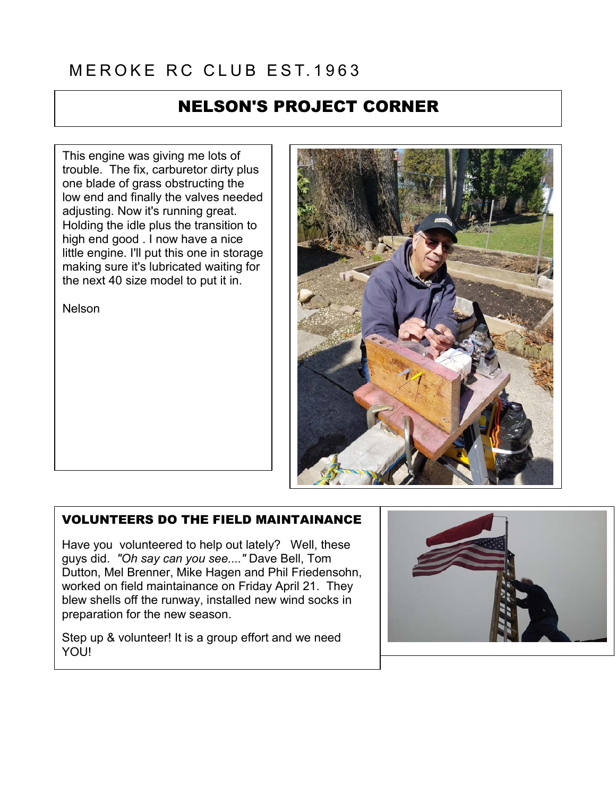# MEROKE RC CLUB EST 1963

## NELSON'S PROJECT CORNER

This engine was giving me lots of trouble. The fix, carburetor dirty plus one blade of grass obstructing the low end and finally the valves needed adjusting. Now it's running great. Holding the idle plus the transition to high end good . I now have a nice little engine. I'll put this one in storage making sure it's lubricated waiting for the next 40 size model to put it in.

Nelson



#### VOLUNTEERS DO THE FIELD MAINTAINANCE

Have you volunteered to help out lately? Well, these guys did. *"Oh say can you see...."* Dave Bell, Tom Dutton, Mel Brenner, Mike Hagen and Phil Friedensohn, worked on field maintainance on Friday April 21. They blew shells off the runway, installed new wind socks in preparation for the new season.

Step up & volunteer! It is a group effort and we need YOU!